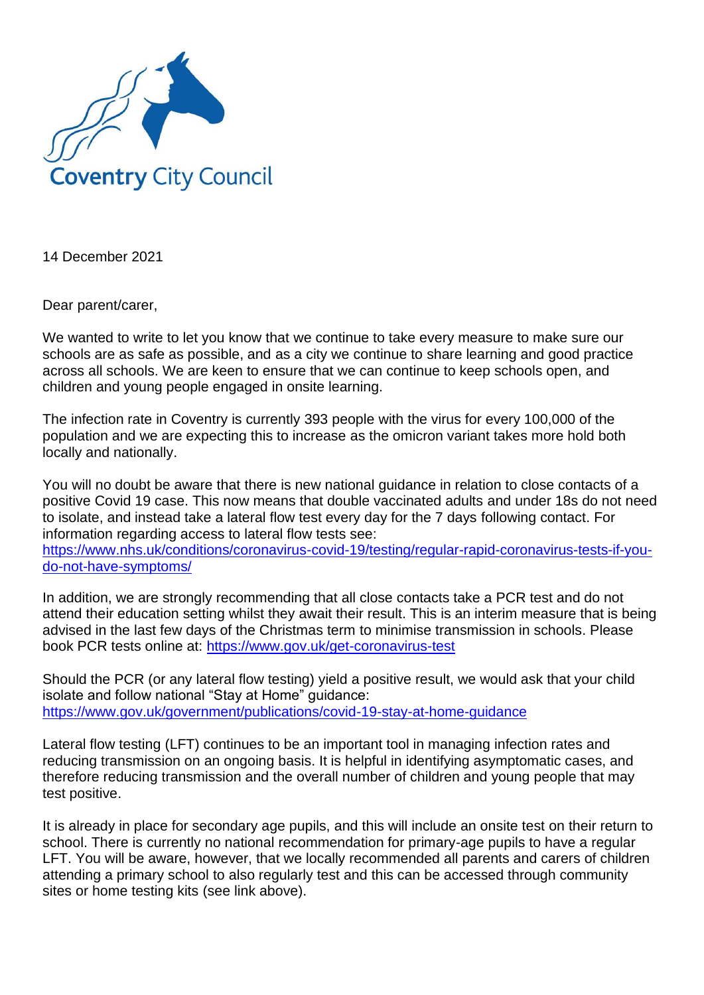

14 December 2021

Dear parent/carer,

We wanted to write to let you know that we continue to take every measure to make sure our schools are as safe as possible, and as a city we continue to share learning and good practice across all schools. We are keen to ensure that we can continue to keep schools open, and children and young people engaged in onsite learning.

The infection rate in Coventry is currently 393 people with the virus for every 100,000 of the population and we are expecting this to increase as the omicron variant takes more hold both locally and nationally.

You will no doubt be aware that there is new national guidance in relation to close contacts of a positive Covid 19 case. This now means that double vaccinated adults and under 18s do not need to isolate, and instead take a lateral flow test every day for the 7 days following contact. For information regarding access to lateral flow tests see:

[https://www.nhs.uk/conditions/coronavirus-covid-19/testing/regular-rapid-coronavirus-tests-if-you](https://www.nhs.uk/conditions/coronavirus-covid-19/testing/regular-rapid-coronavirus-tests-if-you-do-not-have-symptoms/)[do-not-have-symptoms/](https://www.nhs.uk/conditions/coronavirus-covid-19/testing/regular-rapid-coronavirus-tests-if-you-do-not-have-symptoms/)

In addition, we are strongly recommending that all close contacts take a PCR test and do not attend their education setting whilst they await their result. This is an interim measure that is being advised in the last few days of the Christmas term to minimise transmission in schools. Please book PCR tests online at:<https://www.gov.uk/get-coronavirus-test>

Should the PCR (or any lateral flow testing) yield a positive result, we would ask that your child isolate and follow national "Stay at Home" guidance: <https://www.gov.uk/government/publications/covid-19-stay-at-home-guidance>

Lateral flow testing (LFT) continues to be an important tool in managing infection rates and reducing transmission on an ongoing basis. It is helpful in identifying asymptomatic cases, and therefore reducing transmission and the overall number of children and young people that may test positive.

It is already in place for secondary age pupils, and this will include an onsite test on their return to school. There is currently no national recommendation for primary-age pupils to have a regular LFT. You will be aware, however, that we locally recommended all parents and carers of children attending a primary school to also regularly test and this can be accessed through community sites or home testing kits (see link above).